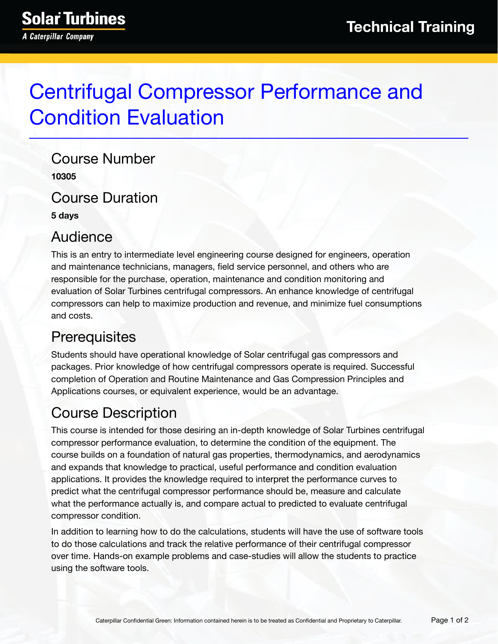# Centrifugal Compressor Performance and Condition Evaluation

Course Number **10305**

Course Duration

**5 days**

#### Audience

This is an entry to intermediate level engineering course designed for engineers, operation and maintenance technicians, managers, field service personnel, and others who are responsible for the purchase, operation, maintenance and condition monitoring and evaluation of Solar Turbines centrifugal compressors. An enhance knowledge of centrifugal compressors can help to maximize production and revenue, and minimize fuel consumptions and costs.

#### **Prerequisites**

Students should have operational knowledge of Solar centrifugal gas compressors and packages. Prior knowledge of how centrifugal compressors operate is required. Successful completion of Operation and Routine Maintenance and Gas Compression Principles and Applications courses, or equivalent experience, would be an advantage.

## Course Description

This course is intended for those desiring an in-depth knowledge of Solar Turbines centrifugal compressor performance evaluation, to determine the condition of the equipment. The course builds on a foundation of natural gas properties, thermodynamics, and aerodynamics and expands that knowledge to practical, useful performance and condition evaluation applications. It provides the knowledge required to interpret the performance curves to predict what the centrifugal compressor performance should be, measure and calculate what the performance actually is, and compare actual to predicted to evaluate centrifugal compressor condition.

In addition to learning how to do the calculations, students will have the use of software tools to do those calculations and track the relative performance of their centrifugal compressor over time. Hands-on example problems and case-studies will allow the students to practice using the software tools.